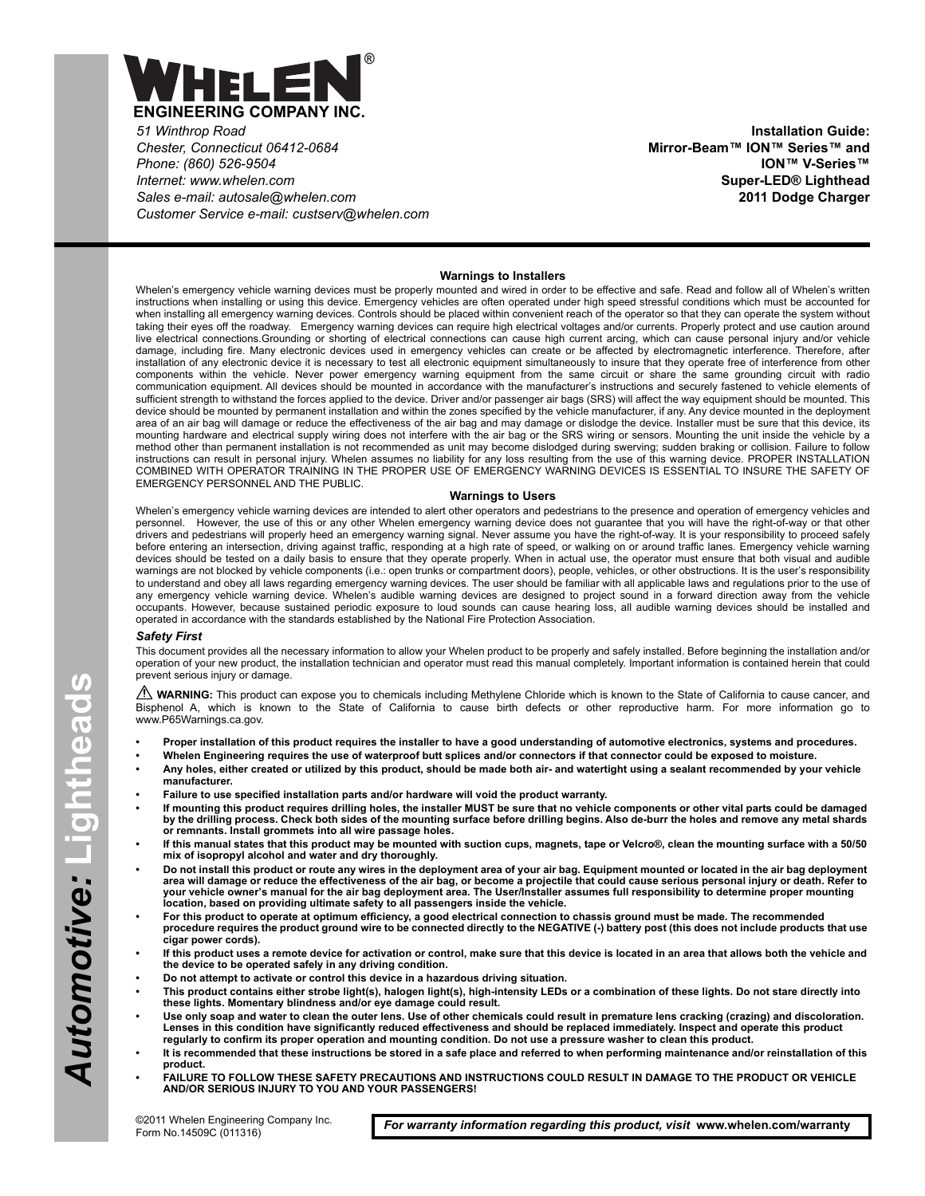

*51 Winthrop Road Chester, Connecticut 06412-0684 Phone: (860) 526-9504 Internet: www.whelen.com Sales e-mail: autosale@whelen.com Customer Service e-mail: custserv@whelen.com*

**Installation Guide: Mirror-Beam™ ION™ Series™ and ION™ V-Series™ Super-LED® Lighthead 2011 Dodge Charger**

### **Warnings to Installers**

Whelen's emergency vehicle warning devices must be properly mounted and wired in order to be effective and safe. Read and follow all of Whelen's written instructions when installing or using this device. Emergency vehicles are often operated under high speed stressful conditions which must be accounted for when installing all emergency warning devices. Controls should be placed within convenient reach of the operator so that they can operate the system without taking their eyes off the roadway. Emergency warning devices can require high electrical voltages and/or currents. Properly protect and use caution around live electrical connections.Grounding or shorting of electrical connections can cause high current arcing, which can cause personal injury and/or vehicle damage, including fire. Many electronic devices used in emergency vehicles can create or be affected by electromagnetic interference. Therefore, after installation of any electronic device it is necessary to test all electronic equipment simultaneously to insure that they operate free of interference from other components within the vehicle. Never power emergency warning equipment from the same circuit or share the same grounding circuit with radio communication equipment. All devices should be mounted in accordance with the manufacturer's instructions and securely fastened to vehicle elements of sufficient strength to withstand the forces applied to the device. Driver and/or passenger air bags (SRS) will affect the way equipment should be mounted. This device should be mounted by permanent installation and within the zones specified by the vehicle manufacturer, if any. Any device mounted in the deployment area of an air bag will damage or reduce the effectiveness of the air bag and may damage or dislodge the device. Installer must be sure that this device, its mounting hardware and electrical supply wiring does not interfere with the air bag or the SRS wiring or sensors. Mounting the unit inside the vehicle by a method other than permanent installation is not recommended as unit may become dislodged during swerving; sudden braking or collision. Failure to follow instructions can result in personal injury. Whelen assumes no liability for any loss resulting from the use of this warning device. PROPER INSTALLATION COMBINED WITH OPERATOR TRAINING IN THE PROPER USE OF EMERGENCY WARNING DEVICES IS ESSENTIAL TO INSURE THE SAFETY OF EMERGENCY PERSONNEL AND THE PUBLIC.

### **Warnings to Users**

Whelen's emergency vehicle warning devices are intended to alert other operators and pedestrians to the presence and operation of emergency vehicles and personnel. However, the use of this or any other Whelen emergency warning device does not guarantee that you will have the right-of-way or that other drivers and pedestrians will properly heed an emergency warning signal. Never assume you have the right-of-way. It is your responsibility to proceed safely before entering an intersection, driving against traffic, responding at a high rate of speed, or walking on or around traffic lanes. Emergency vehicle warning devices should be tested on a daily basis to ensure that they operate properly. When in actual use, the operator must ensure that both visual and audible warnings are not blocked by vehicle components (i.e.: open trunks or compartment doors), people, vehicles, or other obstructions. It is the user's responsibility to understand and obey all laws regarding emergency warning devices. The user should be familiar with all applicable laws and regulations prior to the use of<br>any emergency vehicle warning device. Whelen's audible warning d occupants. However, because sustained periodic exposure to loud sounds can cause hearing loss, all audible warning devices should be installed and operated in accordance with the standards established by the National Fire Protection Association.

#### *Safety First*

This document provides all the necessary information to allow your Whelen product to be properly and safely installed. Before beginning the installation and/or operation of your new product, the installation technician and operator must read this manual completely. Important information is contained herein that could prevent serious injury or damage.

WARNING: This product can expose you to chemicals including Methylene Chloride which is known to the State of California to cause cancer, and Bisphenol A, which is known to the State of California to cause birth defects or other reproductive harm. For more information go to www.P65Warnings.ca.gov.

- **Proper installation of this product requires the installer to have a good understanding of automotive electronics, systems and procedures.**
- **Whelen Engineering requires the use of waterproof butt splices and/or connectors if that connector could be exposed to moisture.**
	- **Any holes, either created or utilized by this product, should be made both air- and watertight using a sealant recommended by your vehicle manufacturer.**
- **Failure to use specified installation parts and/or hardware will void the product warranty.**
- **If mounting this product requires drilling holes, the installer MUST be sure that no vehicle components or other vital parts could be damaged by the drilling process. Check both sides of the mounting surface before drilling begins. Also de-burr the holes and remove any metal shards or remnants. Install grommets into all wire passage holes.**
- **If this manual states that this product may be mounted with suction cups, magnets, tape or Velcro®, clean the mounting surface with a 50/50 mix of isopropyl alcohol and water and dry thoroughly.**
- **Do not install this product or route any wires in the deployment area of your air bag. Equipment mounted or located in the air bag deployment area will damage or reduce the effectiveness of the air bag, or become a projectile that could cause serious personal injury or death. Refer to your vehicle owner's manual for the air bag deployment area. The User/Installer assumes full responsibility to determine proper mounting location, based on providing ultimate safety to all passengers inside the vehicle.**
- **For this product to operate at optimum efficiency, a good electrical connection to chassis ground must be made. The recommended procedure requires the product ground wire to be connected directly to the NEGATIVE (-) battery post (this does not include products that use cigar power cords).**
- **If this product uses a remote device for activation or control, make sure that this device is located in an area that allows both the vehicle and the device to be operated safely in any driving condition.**
- **Do not attempt to activate or control this device in a hazardous driving situation.**
- **This product contains either strobe light(s), halogen light(s), high-intensity LEDs or a combination of these lights. Do not stare directly into these lights. Momentary blindness and/or eye damage could result.**
- **Use only soap and water to clean the outer lens. Use of other chemicals could result in premature lens cracking (crazing) and discoloration. Lenses in this condition have significantly reduced effectiveness and should be replaced immediately. Inspect and operate this product regularly to confirm its proper operation and mounting condition. Do not use a pressure washer to clean this product.**
- **It is recommended that these instructions be stored in a safe place and referred to when performing maintenance and/or reinstallation of this product.**
- **FAILURE TO FOLLOW THESE SAFETY PRECAUTIONS AND INSTRUCTIONS COULD RESULT IN DAMAGE TO THE PRODUCT OR VEHICLE AND/OR SERIOUS INJURY TO YOU AND YOUR PASSENGERS!**

For warranty information regarding this product, visit www.whelen.com/warranty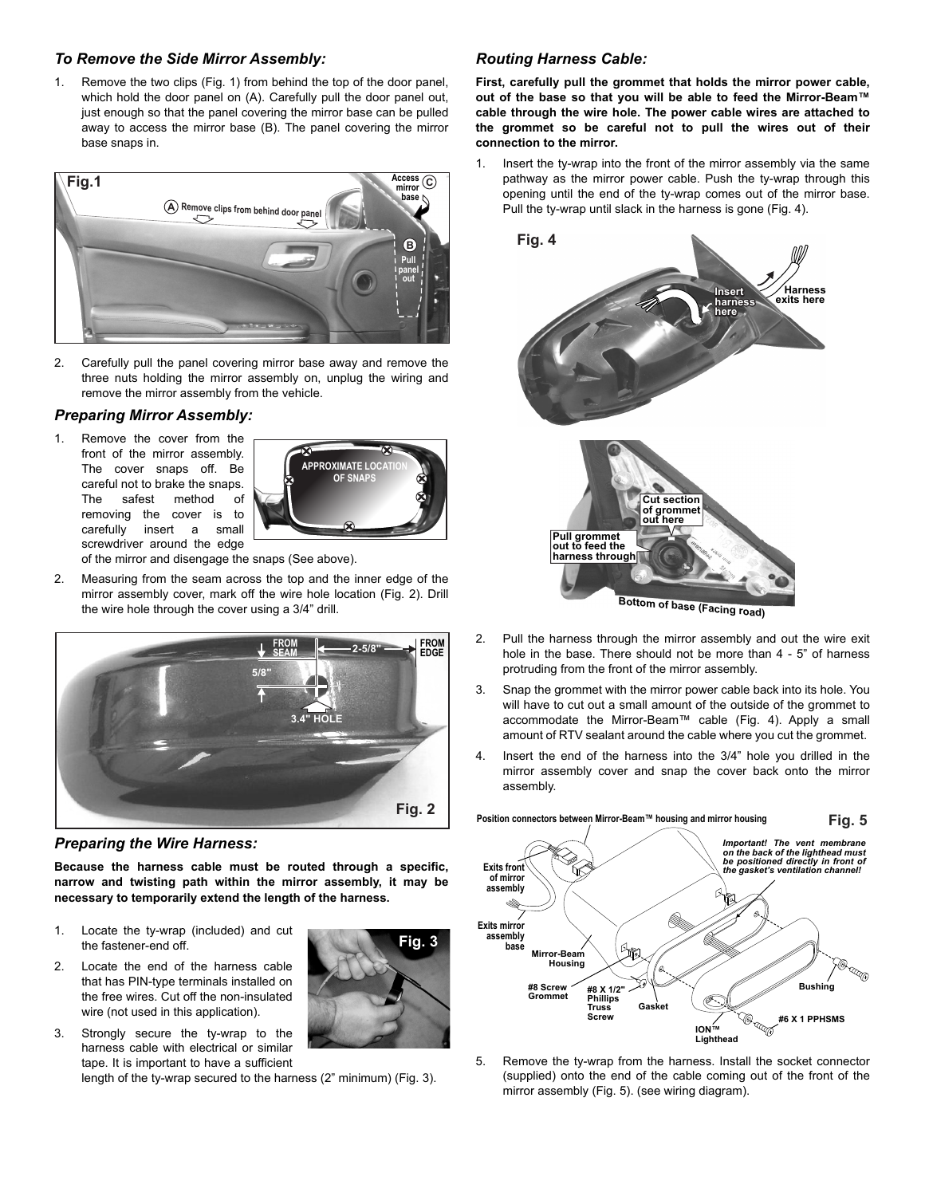# *To Remove the Side Mirror Assembly:*

1. Remove the two clips (Fig. 1) from behind the top of the door panel, which hold the door panel on (A). Carefully pull the door panel out, just enough so that the panel covering the mirror base can be pulled away to access the mirror base (B). The panel covering the mirror base snaps in.



2. Carefully pull the panel covering mirror base away and remove the three nuts holding the mirror assembly on, unplug the wiring and remove the mirror assembly from the vehicle.

# *Preparing Mirror Assembly:*

1. Remove the cover from the front of the mirror assembly. The cover snaps off. Be careful not to brake the snaps. The safest method of removing the cover is to carefully insert a small screwdriver around the edge



**Fig. 3**

of the mirror and disengage the snaps (See above).

2. Measuring from the seam across the top and the inner edge of the mirror assembly cover, mark off the wire hole location (Fig. 2). Drill the wire hole through the cover using a 3/4" drill.



*Preparing the Wire Harness:*

**Because the harness cable must be routed through a specific, narrow and twisting path within the mirror assembly, it may be necessary to temporarily extend the length of the harness.**

- 1. Locate the ty-wrap (included) and cut the fastener-end off.
- 2. Locate the end of the harness cable that has PIN-type terminals installed on the free wires. Cut off the non-insulated wire (not used in this application).
- 3. Strongly secure the ty-wrap to the harness cable with electrical or similar tape. It is important to have a sufficient

length of the ty-wrap secured to the harness (2" minimum) (Fig. 3).

# *Routing Harness Cable:*

**First, carefully pull the grommet that holds the mirror power cable, out of the base so that you will be able to feed the Mirror-Beam™ cable through the wire hole. The power cable wires are attached to the grommet so be careful not to pull the wires out of their connection to the mirror.**

1. Insert the ty-wrap into the front of the mirror assembly via the same pathway as the mirror power cable. Push the ty-wrap through this opening until the end of the ty-wrap comes out of the mirror base. Pull the ty-wrap until slack in the harness is gone (Fig. 4).



- 2. Pull the harness through the mirror assembly and out the wire exit hole in the base. There should not be more than 4 - 5" of harness protruding from the front of the mirror assembly.
- 3. Snap the grommet with the mirror power cable back into its hole. You will have to cut out a small amount of the outside of the grommet to accommodate the Mirror-Beam™ cable (Fig. 4). Apply a small amount of RTV sealant around the cable where you cut the grommet.
- Insert the end of the harness into the 3/4" hole you drilled in the mirror assembly cover and snap the cover back onto the mirror assembly.



5. Remove the ty-wrap from the harness. Install the socket connector (supplied) onto the end of the cable coming out of the front of the mirror assembly (Fig. 5). (see wiring diagram).